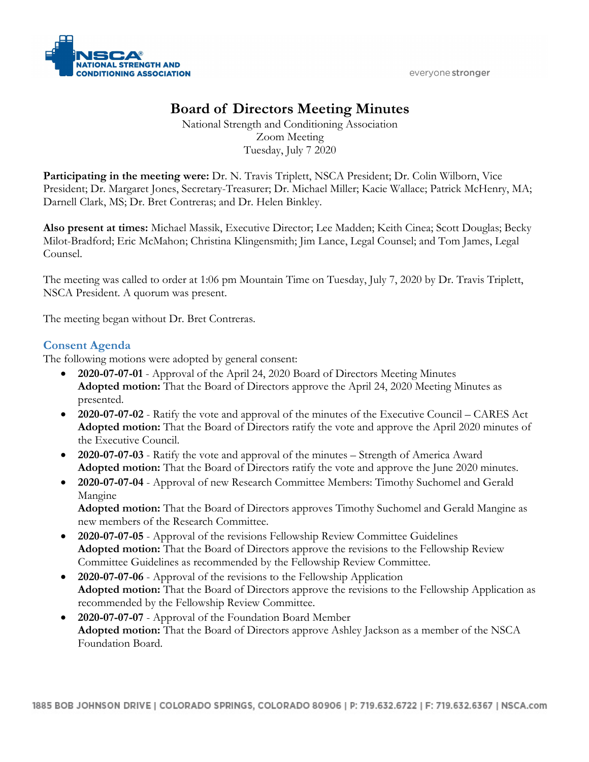everyone stronger



# **Board of Directors Meeting Minutes**

National Strength and Conditioning Association Zoom Meeting Tuesday, July 7 2020

**Participating in the meeting were:** Dr. N. Travis Triplett, NSCA President; Dr. Colin Wilborn, Vice President; Dr. Margaret Jones, Secretary-Treasurer; Dr. Michael Miller; Kacie Wallace; Patrick McHenry, MA; Darnell Clark, MS; Dr. Bret Contreras; and Dr. Helen Binkley.

**Also present at times:** Michael Massik, Executive Director; Lee Madden; Keith Cinea; Scott Douglas; Becky Milot-Bradford; Eric McMahon; Christina Klingensmith; Jim Lance, Legal Counsel; and Tom James, Legal Counsel.

The meeting was called to order at 1:06 pm Mountain Time on Tuesday, July 7, 2020 by Dr. Travis Triplett, NSCA President. A quorum was present.

The meeting began without Dr. Bret Contreras.

# **Consent Agenda**

The following motions were adopted by general consent:

- **2020-07-07-01** Approval of the April 24, 2020 Board of Directors Meeting Minutes **Adopted motion:** That the Board of Directors approve the April 24, 2020 Meeting Minutes as presented.
- **2020-07-07-02** Ratify the vote and approval of the minutes of the Executive Council CARES Act **Adopted motion:** That the Board of Directors ratify the vote and approve the April 2020 minutes of the Executive Council.
- **2020-07-07-03** Ratify the vote and approval of the minutes Strength of America Award **Adopted motion:** That the Board of Directors ratify the vote and approve the June 2020 minutes.
- **2020-07-07-04** Approval of new Research Committee Members: Timothy Suchomel and Gerald Mangine

**Adopted motion:** That the Board of Directors approves Timothy Suchomel and Gerald Mangine as new members of the Research Committee.

- **2020-07-07-05** Approval of the revisions Fellowship Review Committee Guidelines **Adopted motion:** That the Board of Directors approve the revisions to the Fellowship Review Committee Guidelines as recommended by the Fellowship Review Committee.
- **2020-07-07-06** Approval of the revisions to the Fellowship Application **Adopted motion:** That the Board of Directors approve the revisions to the Fellowship Application as recommended by the Fellowship Review Committee.
- **2020-07-07-07** Approval of the Foundation Board Member **Adopted motion:** That the Board of Directors approve Ashley Jackson as a member of the NSCA Foundation Board.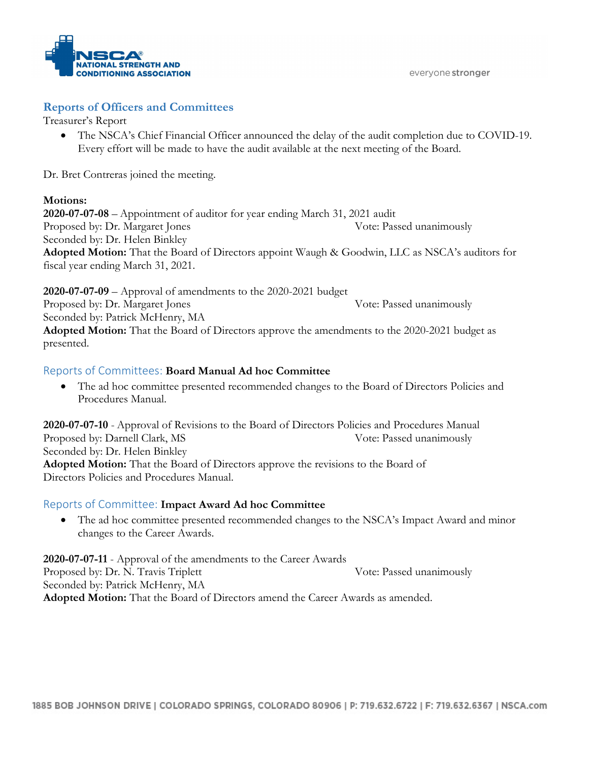

everyone stronger

### **Reports of Officers and Committees**

Treasurer's Report

• The NSCA's Chief Financial Officer announced the delay of the audit completion due to COVID-19. Every effort will be made to have the audit available at the next meeting of the Board.

Dr. Bret Contreras joined the meeting.

#### **Motions:**

**2020-07-07-08** – Appointment of auditor for year ending March 31, 2021 audit Proposed by: Dr. Margaret Jones Vote: Passed unanimously Seconded by: Dr. Helen Binkley **Adopted Motion:** That the Board of Directors appoint Waugh & Goodwin, LLC as NSCA's auditors for fiscal year ending March 31, 2021.

**2020-07-07-09** – Approval of amendments to the 2020-2021 budget Proposed by: Dr. Margaret Jones Vote: Passed unanimously Seconded by: Patrick McHenry, MA **Adopted Motion:** That the Board of Directors approve the amendments to the 2020-2021 budget as presented.

### Reports of Committees: **Board Manual Ad hoc Committee**

• The ad hoc committee presented recommended changes to the Board of Directors Policies and Procedures Manual.

**2020-07-07-10** - Approval of Revisions to the Board of Directors Policies and Procedures Manual Proposed by: Darnell Clark, MS Vote: Passed unanimously Seconded by: Dr. Helen Binkley **Adopted Motion:** That the Board of Directors approve the revisions to the Board of Directors Policies and Procedures Manual.

## Reports of Committee: **Impact Award Ad hoc Committee**

• The ad hoc committee presented recommended changes to the NSCA's Impact Award and minor changes to the Career Awards.

**2020-07-07-11** - Approval of the amendments to the Career Awards Proposed by: Dr. N. Travis Triplett Vote: Passed unanimously Seconded by: Patrick McHenry, MA **Adopted Motion:** That the Board of Directors amend the Career Awards as amended.